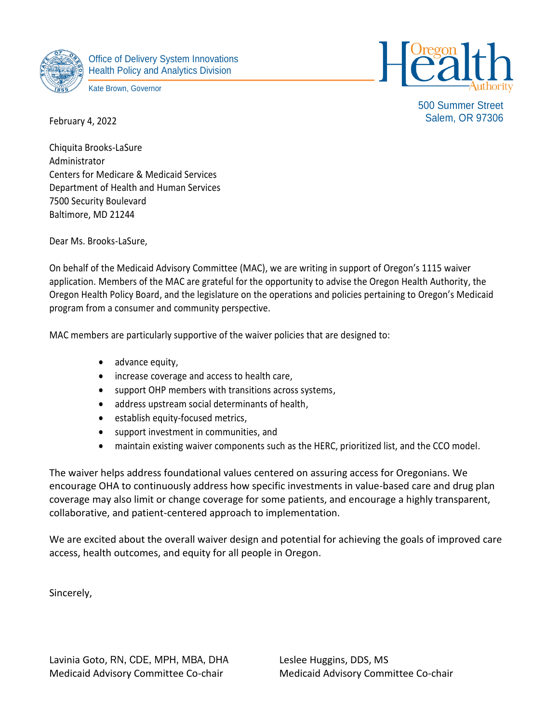

Office of Delivery System Innovations Health Policy and Analytics Division

Kate Brown, Governor



500 Summer Street Salem, OR 97306

February 4, 2022

Chiquita Brooks-LaSure Administrator Centers for Medicare & Medicaid Services Department of Health and Human Services 7500 Security Boulevard Baltimore, MD 21244

Dear Ms. Brooks-LaSure,

On behalf of the Medicaid Advisory Committee (MAC), we are writing in support of Oregon's 1115 waiver application. Members of the MAC are grateful for the opportunity to advise the Oregon Health Authority, the Oregon Health Policy Board, and the legislature on the operations and policies pertaining to Oregon's Medicaid program from a consumer and community perspective.

MAC members are particularly supportive of the waiver policies that are designed to:

- advance equity,
- increase coverage and access to health care,
- support OHP members with transitions across systems,
- address upstream social determinants of health,
- establish equity-focused metrics,
- support investment in communities, and
- maintain existing waiver components such as the HERC, prioritized list, and the CCO model.

The waiver helps address foundational values centered on assuring access for Oregonians. We encourage OHA to continuously address how specific investments in value-based care and drug plan coverage may also limit or change coverage for some patients, and encourage a highly transparent, collaborative, and patient-centered approach to implementation.

We are excited about the overall waiver design and potential for achieving the goals of improved care access, health outcomes, and equity for all people in Oregon.

Sincerely,

Lavinia Goto, RN, CDE, MPH, MBA, DHA Leslee Huggins, DDS, MS Medicaid Advisory Committee Co-chair Medicaid Advisory Committee Co-chair